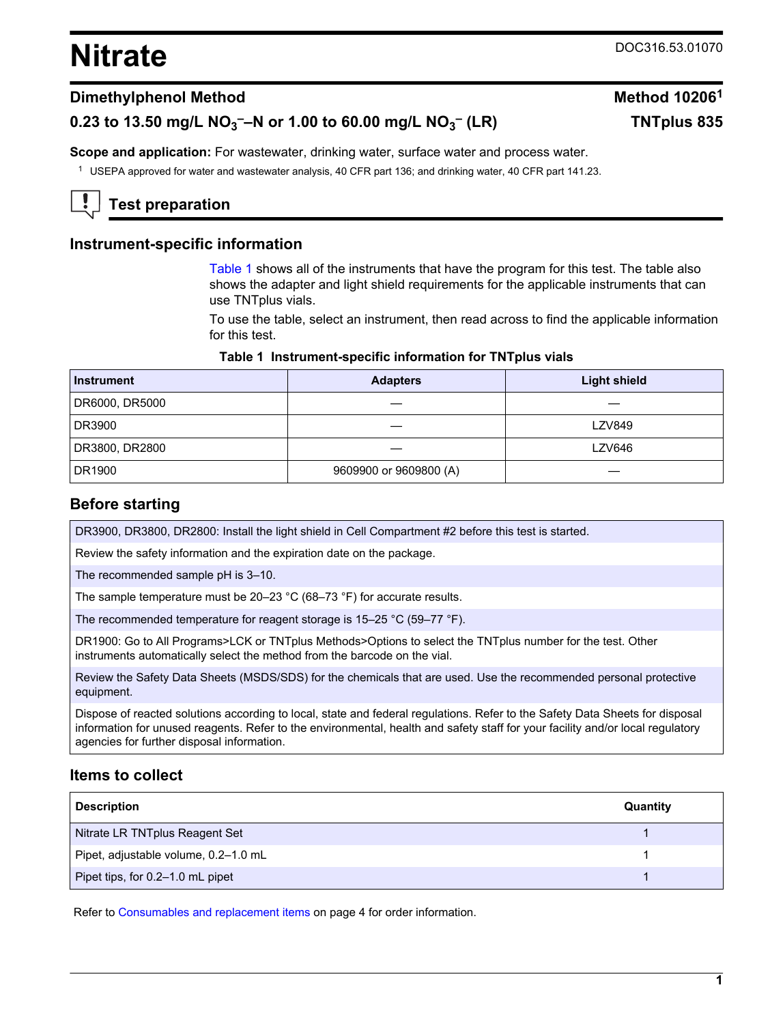# <span id="page-0-0"></span>**Nitrate** DOC316.53.01070

 **(LR) TNTplus 835**

## **Dimethylphenol Method Method 10206<sup>1</sup>**

# **0.23 to 13.50 mg/L NO<sup>3</sup> ––N or 1.00 to 60.00 mg/L NO<sup>3</sup> –**

**Scope and application:** For wastewater, drinking water, surface water and process water.

<sup>1</sup> USEPA approved for water and wastewater analysis, 40 CFR part 136; and drinking water, 40 CFR part 141.23.

# **Test preparation**

### **Instrument-specific information**

Table 1 shows all of the instruments that have the program for this test. The table also shows the adapter and light shield requirements for the applicable instruments that can use TNTplus vials.

To use the table, select an instrument, then read across to find the applicable information for this test.

#### **Table 1 Instrument-specific information for TNTplus vials**

| <b>Instrument</b> | <b>Adapters</b>        | <b>Light shield</b> |
|-------------------|------------------------|---------------------|
| DR6000, DR5000    |                        |                     |
| DR3900            |                        | <b>LZV849</b>       |
| DR3800, DR2800    |                        | LZV646              |
| DR1900            | 9609900 or 9609800 (A) |                     |

#### **Before starting**

DR3900, DR3800, DR2800: Install the light shield in Cell Compartment #2 before this test is started.

Review the safety information and the expiration date on the package.

The recommended sample pH is 3–10.

The sample temperature must be 20–23 °C (68–73 °F) for accurate results.

The recommended temperature for reagent storage is 15–25 °C (59–77 °F).

DR1900: Go to All Programs>LCK or TNTplus Methods>Options to select the TNTplus number for the test. Other instruments automatically select the method from the barcode on the vial.

Review the Safety Data Sheets (MSDS/SDS) for the chemicals that are used. Use the recommended personal protective equipment.

Dispose of reacted solutions according to local, state and federal regulations. Refer to the Safety Data Sheets for disposal information for unused reagents. Refer to the environmental, health and safety staff for your facility and/or local regulatory agencies for further disposal information.

#### **Items to collect**

| <b>Description</b>                   | Quantity |
|--------------------------------------|----------|
| Nitrate LR TNTplus Reagent Set       |          |
| Pipet, adjustable volume, 0.2-1.0 mL |          |
| Pipet tips, for 0.2-1.0 mL pipet     |          |

Refer to [Consumables and replacement items](#page-3-0) on page 4 for order information.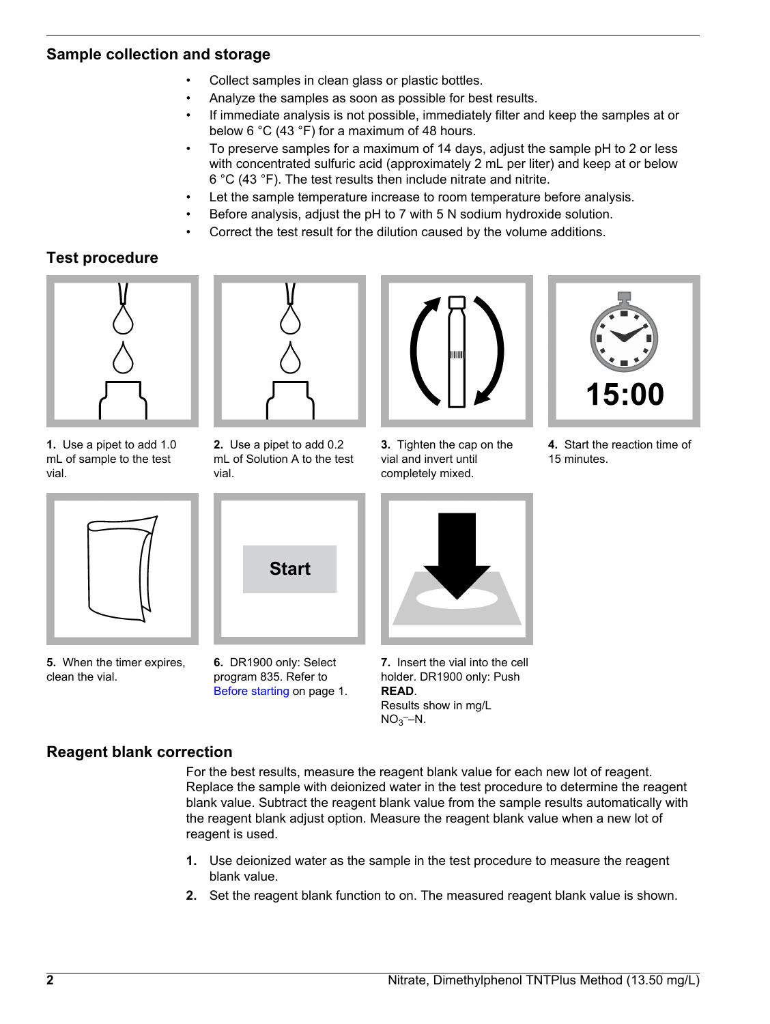## **Sample collection and storage**

- Collect samples in clean glass or plastic bottles.
- Analyze the samples as soon as possible for best results.
- If immediate analysis is not possible, immediately filter and keep the samples at or below 6 °C (43 °F) for a maximum of 48 hours.
- To preserve samples for a maximum of 14 days, adjust the sample pH to 2 or less with concentrated sulfuric acid (approximately 2 mL per liter) and keep at or below 6 °C (43 °F). The test results then include nitrate and nitrite.
- Let the sample temperature increase to room temperature before analysis.
- Before analysis, adjust the pH to 7 with 5 N sodium hydroxide solution.
- Correct the test result for the dilution caused by the volume additions.

## **Test procedure**



**1.** Use a pipet to add 1.0 mL of sample to the test vial.



**5.** When the timer expires, clean the vial.



**2.** Use a pipet to add 0.2 mL of Solution A to the test vial.

**Start**

**6.** DR1900 only: Select program 835. Refer to [Before starting](#page-0-0) on page 1.



**3.** Tighten the cap on the vial and invert until completely mixed.



**7.** Insert the vial into the cell holder. DR1900 only: Push **READ**. Results show in mg/L  $NO<sub>3</sub>$ –N.

## **Reagent blank correction**

For the best results, measure the reagent blank value for each new lot of reagent. Replace the sample with deionized water in the test procedure to determine the reagent blank value. Subtract the reagent blank value from the sample results automatically with the reagent blank adjust option. Measure the reagent blank value when a new lot of reagent is used.

- **1.** Use deionized water as the sample in the test procedure to measure the reagent blank value.
- **2.** Set the reagent blank function to on. The measured reagent blank value is shown.

**4.** Start the reaction time of

1510

15 minutes.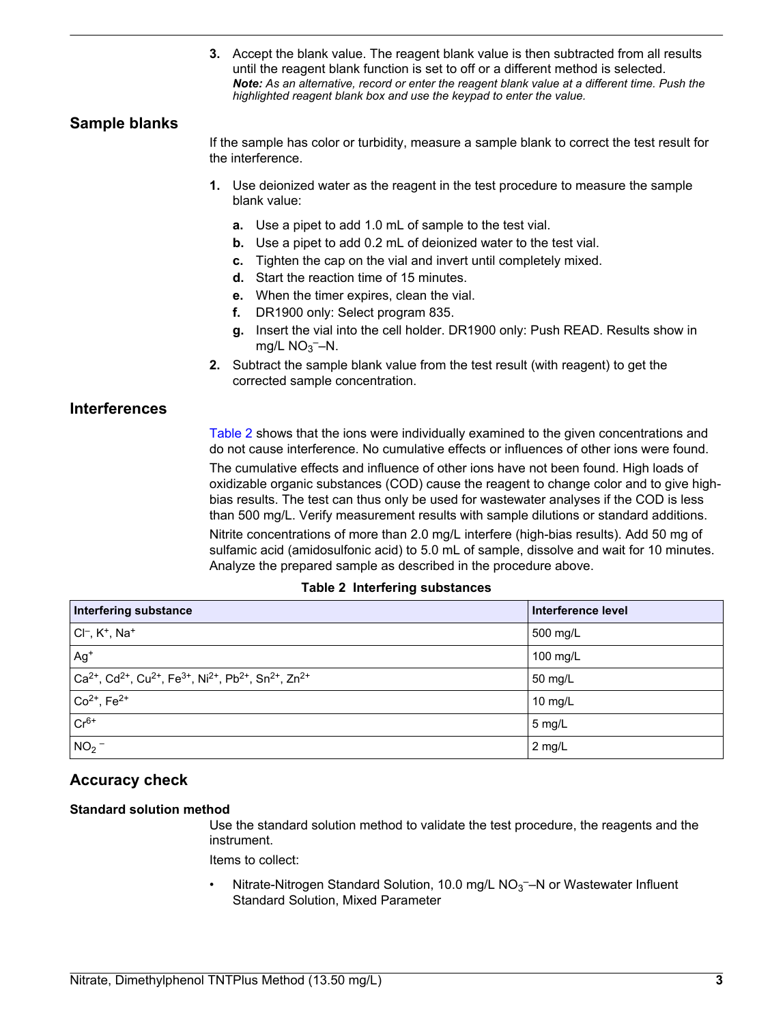**3.** Accept the blank value. The reagent blank value is then subtracted from all results until the reagent blank function is set to off or a different method is selected. *Note: As an alternative, record or enter the reagent blank value at a different time. Push the highlighted reagent blank box and use the keypad to enter the value.*

## **Sample blanks**

If the sample has color or turbidity, measure a sample blank to correct the test result for the interference.

- **1.** Use deionized water as the reagent in the test procedure to measure the sample blank value:
	- **a.** Use a pipet to add 1.0 mL of sample to the test vial.
	- **b.** Use a pipet to add 0.2 mL of deionized water to the test vial.
	- **c.** Tighten the cap on the vial and invert until completely mixed.
	- **d.** Start the reaction time of 15 minutes.
	- **e.** When the timer expires, clean the vial.
	- **f.** DR1900 only: Select program 835.
	- **g.** Insert the vial into the cell holder. DR1900 only: Push READ. Results show in mg/L  $NO<sub>3</sub>$  -N.
- **2.** Subtract the sample blank value from the test result (with reagent) to get the corrected sample concentration.

## **Interferences**

Table 2 shows that the ions were individually examined to the given concentrations and do not cause interference. No cumulative effects or influences of other ions were found.

The cumulative effects and influence of other ions have not been found. High loads of oxidizable organic substances (COD) cause the reagent to change color and to give highbias results. The test can thus only be used for wastewater analyses if the COD is less than 500 mg/L. Verify measurement results with sample dilutions or standard additions.

Nitrite concentrations of more than 2.0 mg/L interfere (high-bias results). Add 50 mg of sulfamic acid (amidosulfonic acid) to 5.0 mL of sample, dissolve and wait for 10 minutes. Analyze the prepared sample as described in the procedure above.

#### **Table 2 Interfering substances**

| <b>Interfering substance</b>                                                                                                                                  | Interference level |
|---------------------------------------------------------------------------------------------------------------------------------------------------------------|--------------------|
| $ Cl-, K+, Na+$                                                                                                                                               | 500 mg/L           |
| $Ag+$                                                                                                                                                         | 100 mg/L           |
| $\vert$ Ca <sup>2+</sup> , Cd <sup>2+</sup> , Cu <sup>2+</sup> , Fe <sup>3+</sup> , Ni <sup>2+</sup> , Pb <sup>2+</sup> , Sn <sup>2+</sup> , Zn <sup>2+</sup> | 50 mg/L            |
| $\vert$ Co <sup>2+</sup> , Fe <sup>2+</sup>                                                                                                                   | 10 mg/L            |
| $Cr^{6+}$                                                                                                                                                     | $5 \text{ mg/L}$   |
| NO <sub>2</sub>                                                                                                                                               | 2 mg/L             |

## **Accuracy check**

#### **Standard solution method**

Use the standard solution method to validate the test procedure, the reagents and the instrument.

Items to collect:

• Nitrate-Nitrogen Standard Solution, 10.0 mg/L  $NO<sub>3</sub>$ –N or Wastewater Influent Standard Solution, Mixed Parameter